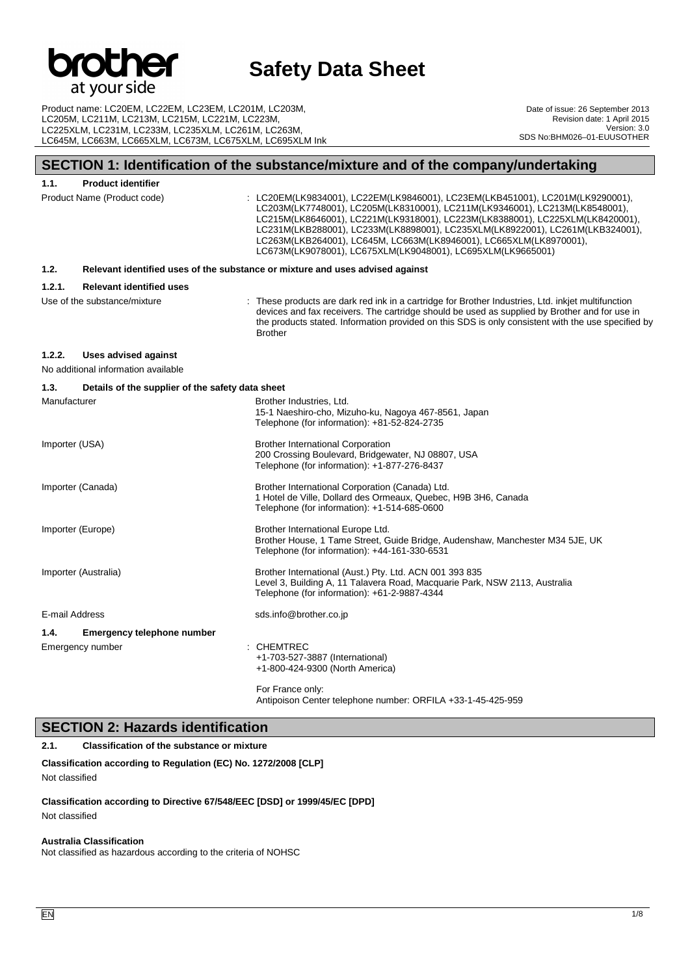# at vour side

# **Safety Data Sheet**

Product name: LC20EM, LC22EM, LC23EM, LC201M, LC203M, LC205M, LC211M, LC213M, LC215M, LC221M, LC223M, LC225XLM, LC231M, LC233M, LC235XLM, LC261M, LC263M, LC645M, LC663M, LC665XLM, LC673M, LC675XLM, LC695XLM Ink

Date of issue: 26 September 2013 Revision date: 1 April 2015 Version: 3.0 SDS No:BHM026–01-EUUSOTHER

# **SECTION 1: Identification of the substance/mixture and of the company/undertaking**

#### **1.1. Product identifier**

Product Name (Product code) : LC20EM(LK9834001), LC22EM(LK9846001), LC23EM(LKB451001), LC201M(LK9290001), LC203M(LK7748001), LC205M(LK8310001), LC211M(LK9346001), LC213M(LK8548001), LC215M(LK8646001), LC221M(LK9318001), LC223M(LK8388001), LC225XLM(LK8420001), LC231M(LKB288001), LC233M(LK8898001), LC235XLM(LK8922001), LC261M(LKB324001), LC263M(LKB264001), LC645M, LC663M(LK8946001), LC665XLM(LK8970001), LC673M(LK9078001), LC675XLM(LK9048001), LC695XLM(LK9665001) **1.2. Relevant identified uses of the substance or mixture and uses advised against 1.2.1. Relevant identified uses** Use of the substance/mixture : These products are dark red ink in a cartridge for Brother Industries, Ltd. inkjet multifunction devices and fax receivers. The cartridge should be used as supplied by Brother and for use in the products stated. Information provided on this SDS is only consistent with the use specified by Brother **1.2.2. Uses advised against** No additional information available **1.3. Details of the supplier of the safety data sheet** Manufacturer **Brother Industries**, Ltd. 15-1 Naeshiro-cho, Mizuho-ku, Nagoya 467-8561, Japan Telephone (for information): +81-52-824-2735 Importer (USA) and Euclidean Brother International Corporation 200 Crossing Boulevard, Bridgewater, NJ 08807, USA Telephone (for information): +1-877-276-8437 Importer (Canada) Brother International Corporation (Canada) Ltd. 1 Hotel de Ville, Dollard des Ormeaux, Quebec, H9B 3H6, Canada Telephone (for information): +1-514-685-0600 Importer (Europe) Brother International Europe Ltd. Brother House, 1 Tame Street, Guide Bridge, Audenshaw, Manchester M34 5JE, UK Telephone (for information): +44-161-330-6531

Importer (Australia) Brother International (Aust.) Pty. Ltd. ACN 001 393 835 Level 3, Building A, 11 Talavera Road, Macquarie Park, NSW 2113, Australia Telephone (for information): +61-2-9887-4344 E-mail Address sds.info@brother.co.jp

**1.4. Emergency telephone number**

Emergency number : CHEMTREC

+1-703-527-3887 (International) +1-800-424-9300 (North America) For France only:

## Antipoison Center telephone number: ORFILA +33-1-45-425-959

# **SECTION 2: Hazards identification**

## **2.1. Classification of the substance or mixture**

# **Classification according to Regulation (EC) No. 1272/2008 [CLP]**

Not classified

#### **Classification according to Directive 67/548/EEC [DSD] or 1999/45/EC [DPD]** Not classified

## **Australia Classification**

Not classified as hazardous according to the criteria of NOHSC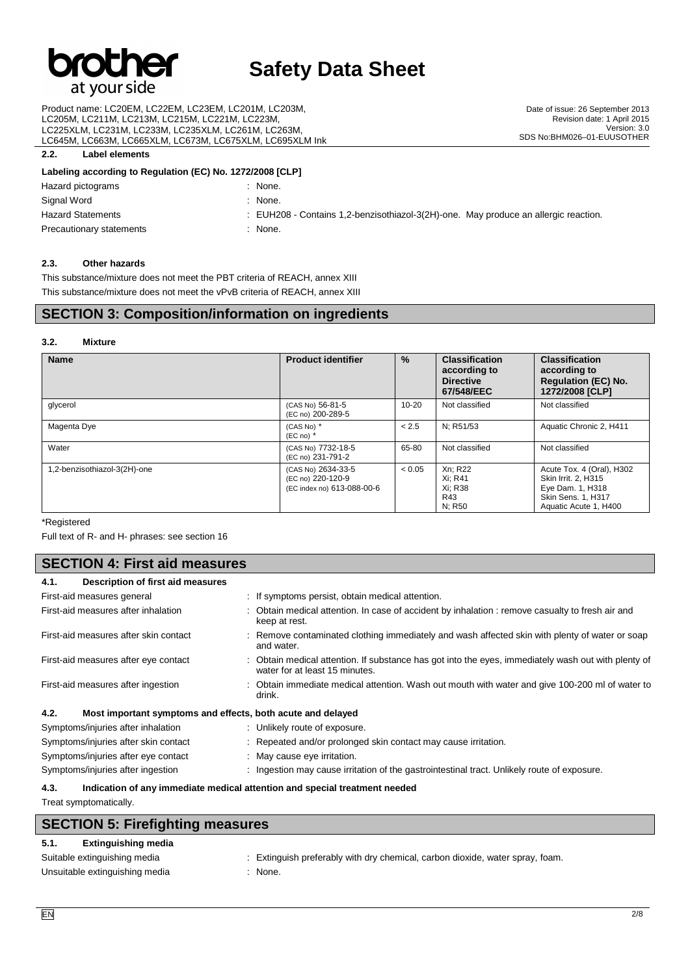# **er** at your side

# **Safety Data Sheet**

Product name: LC20EM, LC22EM, LC23EM, LC201M, LC203M, LC205M, LC211M, LC213M, LC215M, LC221M, LC223M, LC225XLM, LC231M, LC233M, LC235XLM, LC261M, LC263M, LC645M, LC663M, LC665XLM, LC673M, LC675XLM, LC695XLM Ink

**2.2. Label elements**

#### **Labeling according to Regulation (EC) No. 1272/2008 [CLP]**

| Hazard pictograms        | None.                                                                                   |
|--------------------------|-----------------------------------------------------------------------------------------|
| Signal Word              | None.                                                                                   |
| <b>Hazard Statements</b> | $\pm$ EUH208 - Contains 1,2-benzisothiazol-3(2H)-one. May produce an allergic reaction. |
| Precautionary statements | None.                                                                                   |

#### **2.3. Other hazards**

This substance/mixture does not meet the PBT criteria of REACH, annex XIII This substance/mixture does not meet the vPvB criteria of REACH, annex XIII

## **SECTION 3: Composition/information on ingredients**

#### **3.2. Mixture**

| <b>Name</b>                  | <b>Product identifier</b>                                             | $\%$      | <b>Classification</b><br>according to<br><b>Directive</b><br>67/548/EEC | <b>Classification</b><br>according to<br><b>Regulation (EC) No.</b><br>1272/2008 [CLP]                              |
|------------------------------|-----------------------------------------------------------------------|-----------|-------------------------------------------------------------------------|---------------------------------------------------------------------------------------------------------------------|
| glycerol                     | (CAS No) 56-81-5<br>(EC no) 200-289-5                                 | $10 - 20$ | Not classified                                                          | Not classified                                                                                                      |
| Magenta Dye                  | (CAS No) *<br>$(EC \n  no)^*$                                         | < 2.5     | N: R51/53                                                               | Aquatic Chronic 2, H411                                                                                             |
| Water                        | (CAS No) 7732-18-5<br>(EC no) 231-791-2                               | 65-80     | Not classified                                                          | Not classified                                                                                                      |
| 1,2-benzisothiazol-3(2H)-one | (CAS No) 2634-33-5<br>(EC no) 220-120-9<br>(EC index no) 613-088-00-6 | < 0.05    | Xn; R22<br>Xi: R41<br>Xi: R38<br>R43<br>N: R50                          | Acute Tox. 4 (Oral), H302<br>Skin Irrit. 2, H315<br>Eye Dam. 1, H318<br>Skin Sens. 1, H317<br>Aquatic Acute 1, H400 |

\*Registered

Full text of R- and H- phrases: see section 16

| <b>SECTION 4: First aid measures</b>                                |                                                                                                                                       |  |
|---------------------------------------------------------------------|---------------------------------------------------------------------------------------------------------------------------------------|--|
| Description of first aid measures<br>4.1.                           |                                                                                                                                       |  |
| First-aid measures general                                          | : If symptoms persist, obtain medical attention.                                                                                      |  |
| First-aid measures after inhalation                                 | : Obtain medical attention. In case of accident by inhalation : remove casualty to fresh air and<br>keep at rest.                     |  |
| First-aid measures after skin contact                               | : Remove contaminated clothing immediately and wash affected skin with plenty of water or soap<br>and water.                          |  |
| First-aid measures after eye contact                                | : Obtain medical attention. If substance has got into the eyes, immediately wash out with plenty of<br>water for at least 15 minutes. |  |
| First-aid measures after ingestion                                  | : Obtain immediate medical attention. Wash out mouth with water and give 100-200 ml of water to<br>drink.                             |  |
| 4.2.<br>Most important symptoms and effects, both acute and delayed |                                                                                                                                       |  |
| Symptoms/injuries after inhalation                                  | : Unlikely route of exposure.                                                                                                         |  |
| Symptoms/injuries after skin contact                                | : Repeated and/or prolonged skin contact may cause irritation.                                                                        |  |
| Symptoms/injuries after eye contact                                 | May cause eye irritation.                                                                                                             |  |
| Symptoms/injuries after ingestion                                   | : Ingestion may cause irritation of the gastrointestinal tract. Unlikely route of exposure.                                           |  |

# **4.3. Indication of any immediate medical attention and special treatment needed**

Treat symptomatically.

# **SECTION 5: Firefighting measures**

## **5.1. Extinguishing media**

| Suitable extinguishing media   | : Extinguish preferably with dry chemical, carbon dioxide, water spray, foam. |
|--------------------------------|-------------------------------------------------------------------------------|
| Unsuitable extinguishing media | None.                                                                         |

Date of issue: 26 September 2013 Revision date: 1 April 2015

SDS No:BHM026–01-EUUSOTHER

Version: 3.0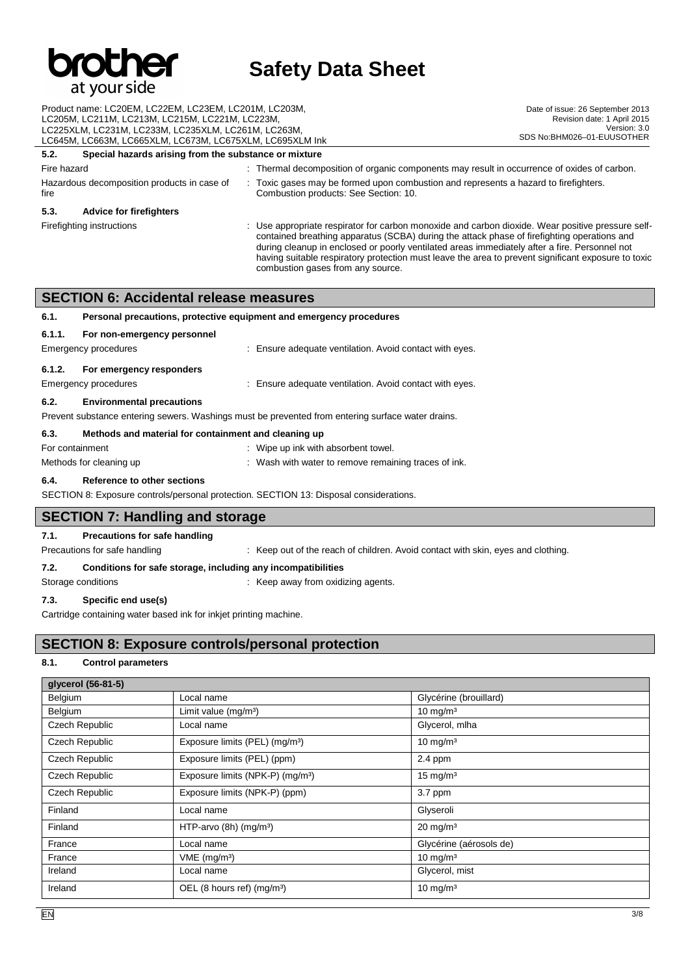# D er at your side

# **Safety Data Sheet**

| Product name: LC20EM, LC22EM, LC23EM, LC201M, LC203M,         |                                                                                                                                                                                                                                                                                                                                                                                                                                               | Date of issue: 26 September 2013 |
|---------------------------------------------------------------|-----------------------------------------------------------------------------------------------------------------------------------------------------------------------------------------------------------------------------------------------------------------------------------------------------------------------------------------------------------------------------------------------------------------------------------------------|----------------------------------|
| LC205M, LC211M, LC213M, LC215M, LC221M, LC223M,               |                                                                                                                                                                                                                                                                                                                                                                                                                                               | Revision date: 1 April 2015      |
| LC225XLM, LC231M, LC233M, LC235XLM, LC261M, LC263M,           |                                                                                                                                                                                                                                                                                                                                                                                                                                               | Version: 3.0                     |
| LC645M, LC663M, LC665XLM, LC673M, LC675XLM, LC695XLM Ink      |                                                                                                                                                                                                                                                                                                                                                                                                                                               | SDS No:BHM026-01-EUUSOTHER       |
| Special hazards arising from the substance or mixture<br>5.2. |                                                                                                                                                                                                                                                                                                                                                                                                                                               |                                  |
| Fire hazard                                                   | : Thermal decomposition of organic components may result in occurrence of oxides of carbon.                                                                                                                                                                                                                                                                                                                                                   |                                  |
| Hazardous decomposition products in case of<br>fire           | Toxic gases may be formed upon combustion and represents a hazard to firefighters.<br>Combustion products: See Section: 10.                                                                                                                                                                                                                                                                                                                   |                                  |
| 5.3.<br><b>Advice for firefighters</b>                        |                                                                                                                                                                                                                                                                                                                                                                                                                                               |                                  |
| Firefighting instructions                                     | : Use appropriate respirator for carbon monoxide and carbon dioxide. Wear positive pressure self-<br>contained breathing apparatus (SCBA) during the attack phase of firefighting operations and<br>during cleanup in enclosed or poorly ventilated areas immediately after a fire. Personnel not<br>having suitable respiratory protection must leave the area to prevent significant exposure to toxic<br>combustion gases from any source. |                                  |

## **SECTION 6: Accidental release measures**

| 6.1.                                                                                              | Personal precautions, protective equipment and emergency procedures |                                                         |  |
|---------------------------------------------------------------------------------------------------|---------------------------------------------------------------------|---------------------------------------------------------|--|
| 6.1.1.                                                                                            | For non-emergency personnel                                         |                                                         |  |
|                                                                                                   | Emergency procedures                                                | : Ensure adequate ventilation. Avoid contact with eyes. |  |
| 6.1.2.                                                                                            | For emergency responders                                            |                                                         |  |
|                                                                                                   | Emergency procedures                                                | : Ensure adequate ventilation. Avoid contact with eyes. |  |
| 6.2.                                                                                              | <b>Environmental precautions</b>                                    |                                                         |  |
| Prevent substance entering sewers. Washings must be prevented from entering surface water drains. |                                                                     |                                                         |  |
| 6.3.                                                                                              | Methods and material for containment and cleaning up                |                                                         |  |
|                                                                                                   | For containment<br>: Wipe up ink with absorbent towel.              |                                                         |  |
|                                                                                                   | Methods for cleaning up                                             | : Wash with water to remove remaining traces of ink.    |  |
| 6.4.                                                                                              | Reference to other sections                                         |                                                         |  |

SECTION 8: Exposure controls/personal protection. SECTION 13: Disposal considerations.

# **SECTION 7: Handling and storage**

#### **7.1. Precautions for safe handling**

Precautions for safe handling : Keep out of the reach of children. Avoid contact with skin, eyes and clothing.

#### **7.2. Conditions for safe storage, including any incompatibilities**

Storage conditions **Storage conditions** : Keep away from oxidizing agents.

#### **7.3. Specific end use(s)**

Cartridge containing water based ink for inkjet printing machine.

# **SECTION 8: Exposure controls/personal protection**

#### **8.1. Control parameters**

| glycerol (56-81-5)    |                                              |                         |
|-----------------------|----------------------------------------------|-------------------------|
| Belgium               | Local name                                   | Glycérine (brouillard)  |
| Belgium               | Limit value (mg/m <sup>3</sup> )             | $10 \text{ mg/m}^3$     |
| Czech Republic        | Local name                                   | Glycerol, mlha          |
| Czech Republic        | Exposure limits (PEL) (mg/m <sup>3</sup> )   | $10 \text{ mg/m}^3$     |
| Czech Republic        | Exposure limits (PEL) (ppm)                  | $2.4$ ppm               |
| Czech Republic        | Exposure limits (NPK-P) (mg/m <sup>3</sup> ) | $15 \text{ mg/m}^3$     |
| <b>Czech Republic</b> | Exposure limits (NPK-P) (ppm)                | $3.7$ ppm               |
| Finland               | Local name                                   | Glyseroli               |
| Finland               | HTP-arvo $(8h)$ (mg/m <sup>3</sup> )         | $20 \text{ mg/m}^3$     |
| France                | Local name                                   | Glycérine (aérosols de) |
| France                | $VME$ (mg/m <sup>3</sup> )                   | $10 \text{ mg/m}^3$     |
| Ireland               | Local name                                   | Glycerol, mist          |
| Ireland               | OEL (8 hours ref) (mg/m <sup>3</sup> )       | $10 \text{ mg/m}^3$     |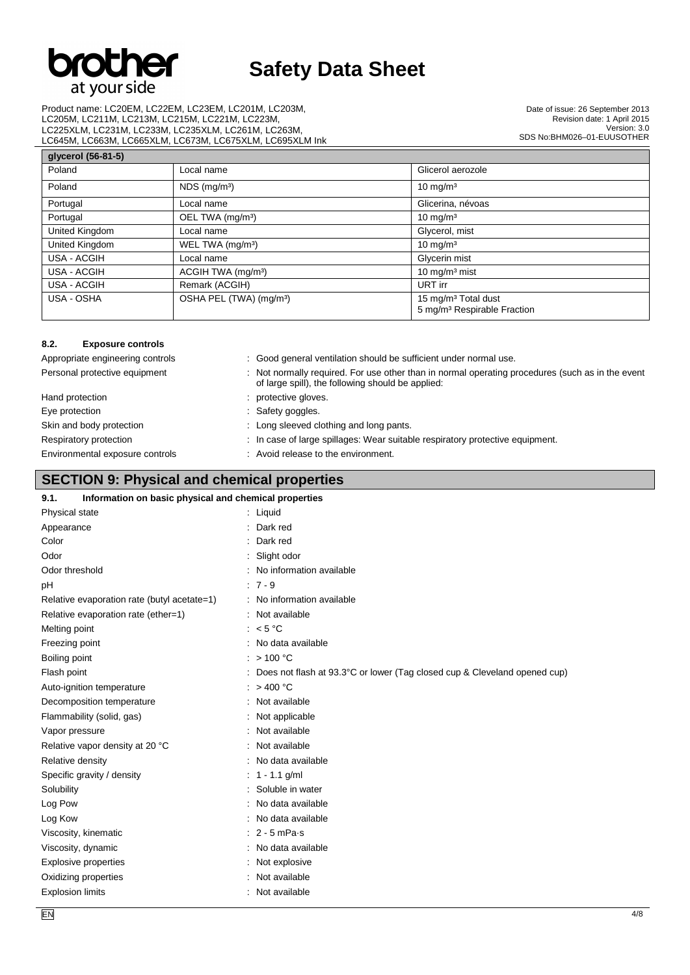

# **Safety Data Sheet**

Product name: LC20EM, LC22EM, LC23EM, LC201M, LC203M, LC205M, LC211M, LC213M, LC215M, LC221M, LC223M, LC225XLM, LC231M, LC233M, LC235XLM, LC261M, LC263M, LC645M, LC663M, LC665XLM, LC673M, LC675XLM, LC695XLM Ink **glycerol (56-81-5)**

a a

| <b>GIVCEROI (56-81-5)</b> |                                     |                                                                            |
|---------------------------|-------------------------------------|----------------------------------------------------------------------------|
| Poland                    | Local name                          | Glicerol aerozole                                                          |
| Poland                    | $NDS$ (mg/m <sup>3</sup> )          | $10 \text{ mg/m}^3$                                                        |
| Portugal                  | Local name                          | Glicerina, névoas                                                          |
| Portugal                  | OEL TWA (mg/m <sup>3</sup> )        | $10 \text{ mg/m}^3$                                                        |
| United Kingdom            | Local name                          | Glycerol, mist                                                             |
| United Kingdom            | WEL TWA (mg/m <sup>3</sup> )        | $10 \text{ mg/m}^3$                                                        |
| USA - ACGIH               | Local name                          | Glycerin mist                                                              |
| USA - ACGIH               | ACGIH TWA (mg/m <sup>3</sup> )      | 10 $mq/m3$ mist                                                            |
| <b>USA - ACGIH</b>        | Remark (ACGIH)                      | URT irr                                                                    |
| USA - OSHA                | OSHA PEL (TWA) (mg/m <sup>3</sup> ) | 15 mg/m <sup>3</sup> Total dust<br>5 mg/m <sup>3</sup> Respirable Fraction |

#### **8.2. Exposure controls**

| Appropriate engineering controls | : Good general ventilation should be sufficient under normal use.                                                                                     |
|----------------------------------|-------------------------------------------------------------------------------------------------------------------------------------------------------|
| Personal protective equipment    | : Not normally required. For use other than in normal operating procedures (such as in the event<br>of large spill), the following should be applied: |
| Hand protection                  | protective gloves.                                                                                                                                    |
| Eye protection                   | : Safety goggles.                                                                                                                                     |
| Skin and body protection         | : Long sleeved clothing and long pants.                                                                                                               |
| Respiratory protection           | : In case of large spillages: Wear suitable respiratory protective equipment.                                                                         |
| Environmental exposure controls  | : Avoid release to the environment.                                                                                                                   |

# **SECTION 9: Physical and chemical properties**

| 9.1.                                        | Information on basic physical and chemical properties                     |  |  |
|---------------------------------------------|---------------------------------------------------------------------------|--|--|
| Physical state                              | : Liquid                                                                  |  |  |
| Appearance                                  | : Dark red                                                                |  |  |
| Color                                       | Dark red                                                                  |  |  |
| Odor                                        | Slight odor                                                               |  |  |
| Odor threshold                              | : No information available                                                |  |  |
| pH                                          | $:7 - 9$                                                                  |  |  |
| Relative evaporation rate (butyl acetate=1) | : No information available                                                |  |  |
| Relative evaporation rate (ether=1)         | : Not available                                                           |  |  |
| Melting point                               | $\approx$ 5 °C                                                            |  |  |
| Freezing point                              | No data available                                                         |  |  |
| Boiling point                               | : $> 100 °C$                                                              |  |  |
| Flash point                                 | Does not flash at 93.3°C or lower (Tag closed cup & Cleveland opened cup) |  |  |
| Auto-ignition temperature                   | $:$ > 400 °C                                                              |  |  |
| Decomposition temperature                   | Not available                                                             |  |  |
| Flammability (solid, gas)                   | Not applicable                                                            |  |  |
| Vapor pressure                              | Not available                                                             |  |  |
| Relative vapor density at 20 °C             | Not available                                                             |  |  |
| Relative density                            | : No data available                                                       |  |  |
| Specific gravity / density                  | : $1 - 1.1$ g/ml                                                          |  |  |
| Solubility                                  | Soluble in water                                                          |  |  |
| Log Pow                                     | No data available                                                         |  |  |
| Log Kow                                     | No data available                                                         |  |  |
| Viscosity, kinematic                        | $: 2 - 5$ mPa s                                                           |  |  |
| Viscosity, dynamic                          | : No data available                                                       |  |  |
| <b>Explosive properties</b>                 | Not explosive                                                             |  |  |
| Oxidizing properties                        | Not available                                                             |  |  |
| <b>Explosion limits</b>                     | Not available                                                             |  |  |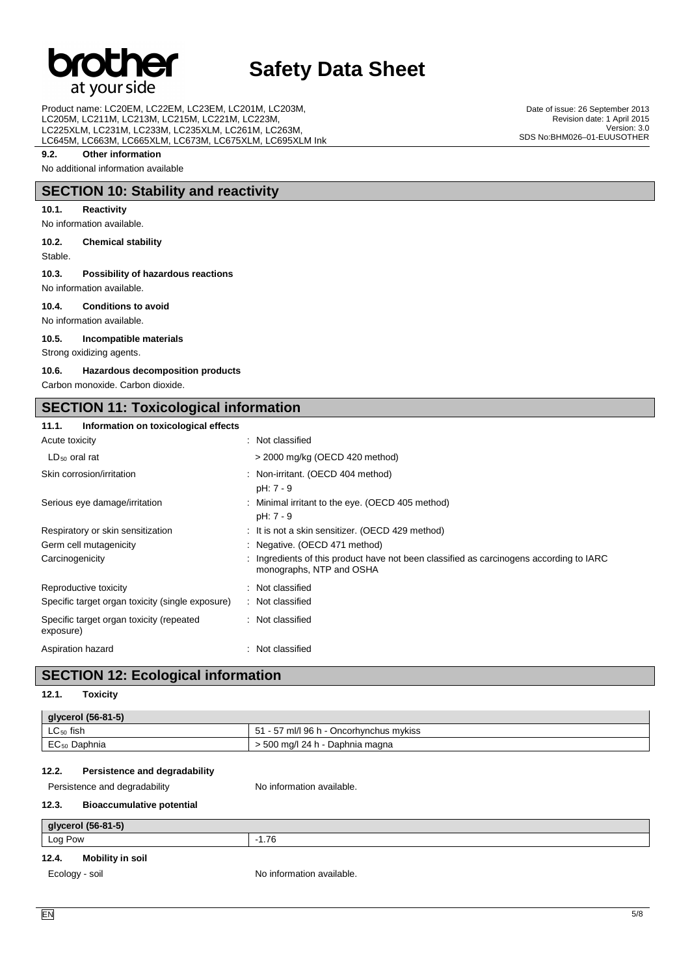

# **Safety Data Sheet**

Product name: LC20EM, LC22EM, LC23EM, LC201M, LC203M, LC205M, LC211M, LC213M, LC215M, LC221M, LC223M, LC225XLM, LC231M, LC233M, LC235XLM, LC261M, LC263M, LC645M, LC663M, LC665XLM, LC673M, LC675XLM, LC695XLM Ink

#### **9.2. Other information**

No additional information available

# **SECTION 10: Stability and reactivity**

#### **10.1. Reactivity**

No information available.

# **10.2. Chemical stability**

Stable.

#### **10.3. Possibility of hazardous reactions**

No information available.

#### **10.4. Conditions to avoid**

No information available.

#### **10.5. Incompatible materials**

Strong oxidizing agents.

#### **10.6. Hazardous decomposition products**

Carbon monoxide. Carbon dioxide.

## **SECTION 11: Toxicological information**

| Information on toxicological effects<br>11.1. |  |
|-----------------------------------------------|--|
|-----------------------------------------------|--|

| Acute toxicity                                        | : Not classified                                                                                                    |
|-------------------------------------------------------|---------------------------------------------------------------------------------------------------------------------|
| $LD_{50}$ oral rat                                    | $>$ 2000 mg/kg (OECD 420 method)                                                                                    |
| Skin corrosion/irritation                             | : Non-irritant. (OECD 404 method)<br>pH: 7 - 9                                                                      |
| Serious eye damage/irritation                         | : Minimal irritant to the eye. (OECD 405 method)<br>$pH: 7 - 9$                                                     |
| Respiratory or skin sensitization                     | : It is not a skin sensitizer. (OECD 429 method)                                                                    |
| Germ cell mutagenicity                                | : Negative. (OECD 471 method)                                                                                       |
| Carcinogenicity                                       | : Ingredients of this product have not been classified as carcinogens according to IARC<br>monographs, NTP and OSHA |
| Reproductive toxicity                                 | : Not classified                                                                                                    |
| Specific target organ toxicity (single exposure)      | : Not classified                                                                                                    |
| Specific target organ toxicity (repeated<br>exposure) | : Not classified                                                                                                    |
| Aspiration hazard                                     | : Not classified                                                                                                    |

## **SECTION 12: Ecological information**

#### **12.1. Toxicity**

 $\overline{a}$ 

| glycerol (56-81-5)         |                                            |  |  |  |  |
|----------------------------|--------------------------------------------|--|--|--|--|
| $LC_{50}$ fish             | - 57 ml/l 96 h - Oncorhvnchus mykiss<br>51 |  |  |  |  |
| $\mathsf{IC}_{50}$ Daphnia | > 500 mg/l 24 h - Daphnia magna            |  |  |  |  |

#### **12.2. Persistence and degradability**

Persistence and degradability No information available.

# **12.3. Bioaccumulative potential**

| glycerol (56-81-5)        |                           |  |  |  |  |
|---------------------------|---------------------------|--|--|--|--|
| Log Pow                   | $-1.76$                   |  |  |  |  |
| 12.4.<br>Mobility in soil |                           |  |  |  |  |
| Ecology - soil            | No information available. |  |  |  |  |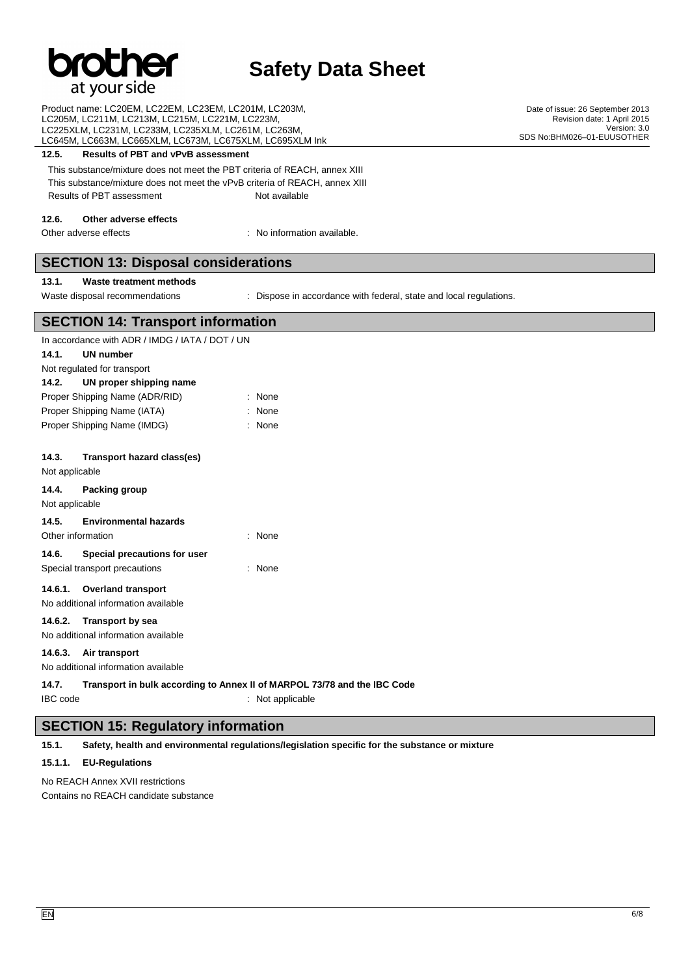# at your side

# **Safety Data Sheet**

Product name: LC20EM, LC22EM, LC23EM, LC201M, LC203M, LC205M, LC211M, LC213M, LC215M, LC221M, LC223M, LC225XLM, LC231M, LC233M, LC235XLM, LC261M, LC263M, LC645M, LC663M, LC665XLM, LC673M, LC675XLM, LC695XLM Ink

#### **12.5. Results of PBT and vPvB assessment**

This substance/mixture does not meet the PBT criteria of REACH, annex XIII This substance/mixture does not meet the vPvB criteria of REACH, annex XIII Results of PBT assessment Not available

#### **12.6. Other adverse effects**

Other adverse effects in the state of the state of the No information available.

# **SECTION 13: Disposal considerations**

## **13.1. Waste treatment methods**

Waste disposal recommendations : Dispose in accordance with federal, state and local regulations.

# **SECTION 14: Transport information**

|                   | In accordance with ADR / IMDG / IATA / DOT / UN                          |           |                  |  |  |  |
|-------------------|--------------------------------------------------------------------------|-----------|------------------|--|--|--|
| 14.1.             | UN number                                                                |           |                  |  |  |  |
|                   | Not regulated for transport                                              |           |                  |  |  |  |
| 14.2.             | UN proper shipping name                                                  |           |                  |  |  |  |
|                   | Proper Shipping Name (ADR/RID)                                           |           | : None           |  |  |  |
|                   | Proper Shipping Name (IATA)                                              |           | : None           |  |  |  |
|                   | Proper Shipping Name (IMDG)                                              |           | : None           |  |  |  |
| 14.3.             | Transport hazard class(es)                                               |           |                  |  |  |  |
| Not applicable    |                                                                          |           |                  |  |  |  |
| 14.4.             | <b>Packing group</b>                                                     |           |                  |  |  |  |
| Not applicable    |                                                                          |           |                  |  |  |  |
| 14.5.             | <b>Environmental hazards</b>                                             |           |                  |  |  |  |
| Other information |                                                                          | $\bullet$ | None             |  |  |  |
| 14.6.             | Special precautions for user                                             |           |                  |  |  |  |
|                   | Special transport precautions                                            |           | : None           |  |  |  |
| 14.6.1.           | <b>Overland transport</b>                                                |           |                  |  |  |  |
|                   | No additional information available                                      |           |                  |  |  |  |
| 14.6.2.           | <b>Transport by sea</b>                                                  |           |                  |  |  |  |
|                   | No additional information available                                      |           |                  |  |  |  |
| 14.6.3.           | Air transport                                                            |           |                  |  |  |  |
|                   | No additional information available                                      |           |                  |  |  |  |
| 14.7.             | Transport in bulk according to Annex II of MARPOL 73/78 and the IBC Code |           |                  |  |  |  |
| <b>IBC</b> code   |                                                                          |           | : Not applicable |  |  |  |

## **SECTION 15: Regulatory information**

**15.1. Safety, health and environmental regulations/legislation specific for the substance or mixture**

#### **15.1.1. EU-Regulations**

No REACH Annex XVII restrictions Contains no REACH candidate substance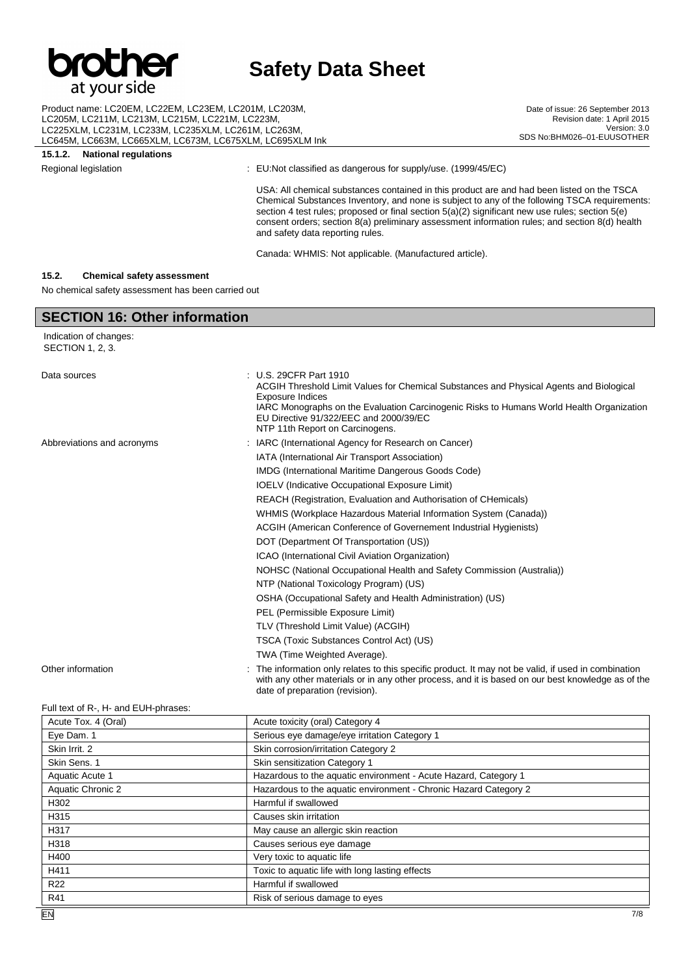# at your side

# **Safety Data Sheet**

Product name: LC20EM, LC22EM, LC23EM, LC201M, LC203M, LC205M, LC211M, LC213M, LC215M, LC221M, LC223M, LC225XLM, LC231M, LC233M, LC235XLM, LC261M, LC263M, LC645M, LC663M, LC665XLM, LC673M, LC675XLM, LC695XLM Ink

Date of issue: 26 September 2013 Revision date: 1 April 2015 Version: 3.0 SDS No:BHM026–01-EUUSOTHER

#### **15.1.2. National regulations**

Regional legislation : EU:Not classified as dangerous for supply/use. (1999/45/EC)

USA: All chemical substances contained in this product are and had been listed on the TSCA Chemical Substances Inventory, and none is subject to any of the following TSCA requirements: section 4 test rules; proposed or final section 5(a)(2) significant new use rules; section 5(e) consent orders; section 8(a) preliminary assessment information rules; and section 8(d) health and safety data reporting rules.

Canada: WHMIS: Not applicable. (Manufactured article).

#### **15.2. Chemical safety assessment**

No chemical safety assessment has been carried out

### **SECTION 16: Other information** Indication of changes: SECTION 1, 2, 3. Data sources : U.S. 29CFR Part 1910 ACGIH Threshold Limit Values for Chemical Substances and Physical Agents and Biological Exposure Indices IARC Monographs on the Evaluation Carcinogenic Risks to Humans World Health Organization EU Directive 91/322/EEC and 2000/39/EC NTP 11th Report on Carcinogens. Abbreviations and acronyms : IARC (International Agency for Research on Cancer) IATA (International Air Transport Association) IMDG (International Maritime Dangerous Goods Code) IOELV (Indicative Occupational Exposure Limit) REACH (Registration, Evaluation and Authorisation of CHemicals) WHMIS (Workplace Hazardous Material Information System (Canada)) ACGIH (American Conference of Governement Industrial Hygienists) DOT (Department Of Transportation (US)) ICAO (International Civil Aviation Organization) NOHSC (National Occupational Health and Safety Commission (Australia)) NTP (National Toxicology Program) (US) OSHA (Occupational Safety and Health Administration) (US) PEL (Permissible Exposure Limit) TLV (Threshold Limit Value) (ACGIH) TSCA (Toxic Substances Control Act) (US) TWA (Time Weighted Average). Other information **interpretent in the information** only relates to this specific product. It may not be valid, if used in combination with any other materials or in any other process, and it is based on our best knowledge as of the date of preparation (revision).

#### Full text of R-, H- and EUH-phrases:

| Acute Tox. 4 (Oral) | Acute toxicity (oral) Category 4                                 |  |  |
|---------------------|------------------------------------------------------------------|--|--|
| Eye Dam. 1          | Serious eye damage/eye irritation Category 1                     |  |  |
| Skin Irrit. 2       | Skin corrosion/irritation Category 2                             |  |  |
| Skin Sens. 1        | Skin sensitization Category 1                                    |  |  |
| Aquatic Acute 1     | Hazardous to the aquatic environment - Acute Hazard, Category 1  |  |  |
| Aquatic Chronic 2   | Hazardous to the aquatic environment - Chronic Hazard Category 2 |  |  |
| H302                | Harmful if swallowed                                             |  |  |
| H315                | Causes skin irritation                                           |  |  |
| H317                | May cause an allergic skin reaction                              |  |  |
| H318                | Causes serious eye damage                                        |  |  |
| H400                | Very toxic to aquatic life                                       |  |  |
| H411                | Toxic to aquatic life with long lasting effects                  |  |  |
| R <sub>22</sub>     | Harmful if swallowed                                             |  |  |
| R41                 | Risk of serious damage to eyes                                   |  |  |